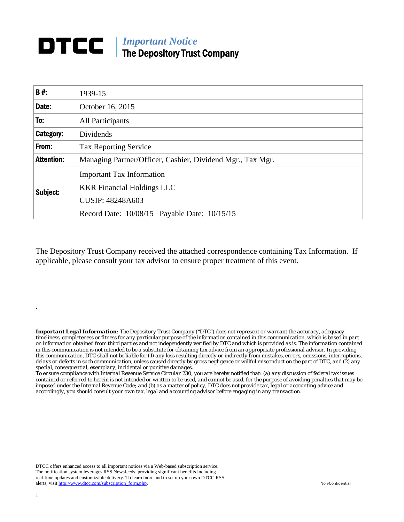## *Important Notice*  The Depository Trust Company

| <b>B#:</b>        | 1939-15                                                               |  |  |
|-------------------|-----------------------------------------------------------------------|--|--|
| Date:             | October 16, 2015                                                      |  |  |
| To:               | <b>All Participants</b>                                               |  |  |
| Category:         | Dividends                                                             |  |  |
| From:             | <b>Tax Reporting Service</b>                                          |  |  |
| <b>Attention:</b> | Managing Partner/Officer, Cashier, Dividend Mgr., Tax Mgr.            |  |  |
| Subject:          | <b>Important Tax Information</b><br><b>KKR Financial Holdings LLC</b> |  |  |
|                   | <b>CUSIP: 48248A603</b>                                               |  |  |
|                   | Record Date: 10/08/15 Payable Date: 10/15/15                          |  |  |

The Depository Trust Company received the attached correspondence containing Tax Information. If applicable, please consult your tax advisor to ensure proper treatment of this event.

*Important Legal Information: The Depository Trust Company ("DTC") does not represent or warrant the accuracy, adequacy, timeliness, completeness or fitness for any particular purpose of the information contained in this communication, which is based in part on information obtained from third parties and not independently verified by DTC and which is provided as is. The information contained in this communication is not intended to be a substitute for obtaining tax advice from an appropriate professional advisor. In providing this communication, DTC shall not be liable for (1) any loss resulting directly or indirectly from mistakes, errors, omissions, interruptions, delays or defects in such communication, unless caused directly by gross negligence or willful misconduct on the part of DTC, and (2) any special, consequential, exemplary, incidental or punitive damages.* 

*To ensure compliance with Internal Revenue Service Circular 230, you are hereby notified that: (a) any discussion of federal tax issues contained or referred to herein is not intended or written to be used, and cannot be used, for the purpose of avoiding penalties that may be imposed under the Internal Revenue Code; and (b) as a matter of policy, DTC does not provide tax, legal or accounting advice and accordingly, you should consult your own tax, legal and accounting advisor before engaging in any transaction.*

DTCC offers enhanced access to all important notices via a Web-based subscription service. The notification system leverages RSS Newsfeeds, providing significant benefits including real-time updates and customizable delivery. To learn more and to set up your own DTCC RSS alerts, visit http://www.dtcc.com/subscription\_form.php. Non-Confidential

.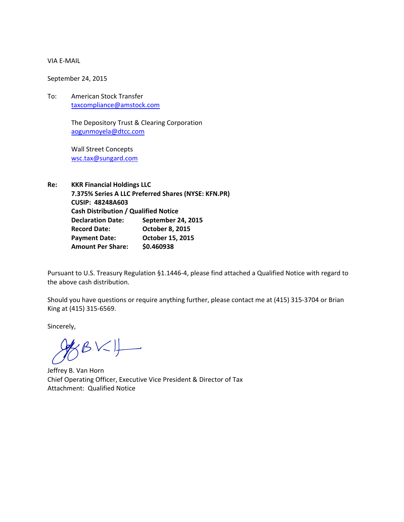## VIA E‐MAIL

September 24, 2015

To: American Stock Transfer taxcompliance@amstock.com

> The Depository Trust & Clearing Corporation aogunmoyela@dtcc.com

Wall Street Concepts wsc.tax@sungard.com

**Re: KKR Financial Holdings LLC 7.375% Series A LLC Preferred Shares (NYSE: KFN.PR) CUSIP: 48248A603 Cash Distribution / Qualified Notice Declaration Date: September 24, 2015 Record Date: October 8, 2015 Payment Date: October 15, 2015 Amount Per Share: \$0.460938**

Pursuant to U.S. Treasury Regulation §1.1446‐4, please find attached a Qualified Notice with regard to the above cash distribution.

Should you have questions or require anything further, please contact me at (415) 315‐3704 or Brian King at (415) 315‐6569.

Sincerely,

 $R$ BK $\downarrow$ 

Jeffrey B. Van Horn Chief Operating Officer, Executive Vice President & Director of Tax Attachment: Qualified Notice